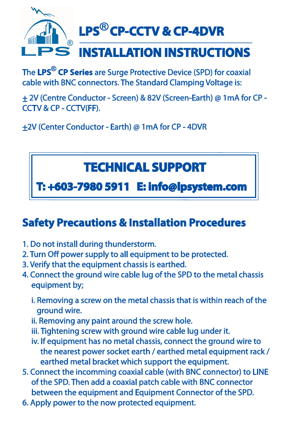

The LPS<sup>®</sup> CP Series are Surge Protective Device (SPD) for coaxial cable with BNC connectors. The Standard Clamping Voltage is:

+ 2V (Centre Conductor - Screen) & 82V (Screen-Earth) @ 1mA for CP - CCTV & CP - CCTV(FF).

+2V (Center Conductor - Earth) @ 1mA for CP - 4DVR

## **TECHNICAL SUPPORT**

 **T: +603-7980 5911 E: info@lpsystem.com**

## **Safety Precautions & Installation Procedures**

- 1. Do not install during thunderstorm.
- 2. Turn Off power supply to all equipment to be protected.
- 3. Verify that the equipment chassis is earthed.
- 4. Connect the ground wire cable lug of the SPD to the metal chassis equipment by;
	- i. Removing a screw on the metal chassis that is within reach of the ground wire.
	- ii. Removing any paint around the screw hole.
	- iii. Tightening screw with ground wire cable lug under it.
	- iv. If equipment has no metal chassis, connect the ground wire to the nearest power socket earth / earthed metal equipment rack / earthed metal bracket which support the equipment.
- 5. Connect the incomming coaxial cable (with BNC connector) to LINE of the SPD. Then add a coaxial patch cable with BNC connector between the equipment and Equipment Connector of the SPD.
- 6. Apply power to the now protected equipment.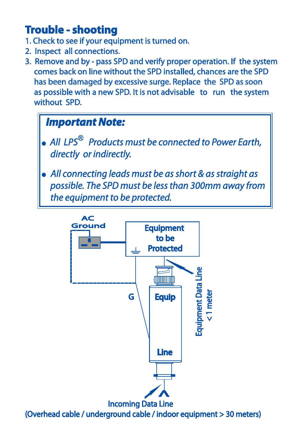## **Trouble - shooting**

- 1. Check to see if your equipment is turned on.
- 2. Inspect all connections.
- 3. Remove and by pass SPD and verify proper operation. If the system comes back on line without the SPD installed, chances are the SPD has been damaged by excessive surge. Replace the SPD as soon as possible with a new SPD. It is not advisable to run the system without SPD.

## *Important Note:*

- *. All LPS Products must be connected to Power Earth, directly or indirectly.*
- *. All connecting leads must be as short & as straight as possible. The SPD must be less than 300mm away from the equipment to be protected.*